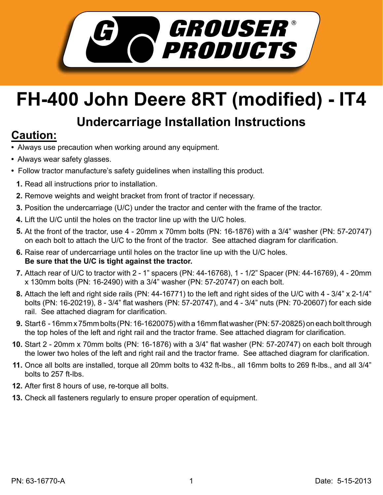

## **FH-400 John Deere 8RT (modified) - IT4**

## **Undercarriage Installation Instructions**

## **Caution:**

- Always use precaution when working around any equipment.
- Always wear safety glasses.
- Follow tractor manufacture's safety guidelines when installing this product.
	- **1.** Read all instructions prior to installation.
- **2.** Remove weights and weight bracket from front of tractor if necessary.
- **3.** Position the undercarriage (U/C) under the tractor and center with the frame of the tractor.
- Lift the U/C until the holes on the tractor line up with the U/C holes. **4.**
- **5.** At the front of the tractor, use 4 20mm x 70mm bolts (PN: 16-1876) with a 3/4" washer (PN: 57-20747) on each bolt to attach the U/C to the front of the tractor. See attached diagram for clarification.
- **6.** Raise rear of undercarriage until holes on the tractor line up with the U/C holes. **Be sure that the U/C is tight against the tractor.**
- **7.** Attach rear of U/C to tractor with 2 1" spacers (PN: 44-16768), 1 1/2" Spacer (PN: 44-16769), 4 20mm x 130mm bolts (PN: 16-2490) with a 3/4" washer (PN: 57-20747) on each bolt.
- Attach the left and right side rails (PN: 44-16771) to the left and right sides of the U/C with 4 3/4" x 2-1/4" **8.** bolts (PN: 16-20219), 8 - 3/4" flat washers (PN: 57-20747), and 4 - 3/4" nuts (PN: 70-20607) for each side rail. See attached diagram for clarification.
- Start 6 16mm x 75mm bolts (PN: 16-1620075) with a 16mm flat washer (PN: 57-20825) on each bolt through **9.** the top holes of the left and right rail and the tractor frame. See attached diagram for clarification.
- **10.** Start 2 20mm x 70mm bolts (PN: 16-1876) with a 3/4" flat washer (PN: 57-20747) on each bolt through the lower two holes of the left and right rail and the tractor frame. See attached diagram for clarification.
- **11.** Once all bolts are installed, torque all 20mm bolts to 432 ft-lbs., all 16mm bolts to 269 ft-lbs., and all 3/4" bolts to 257 ft-lbs.
- **12.** After first 8 hours of use, re-torque all bolts.
- **13.** Check all fasteners regularly to ensure proper operation of equipment.